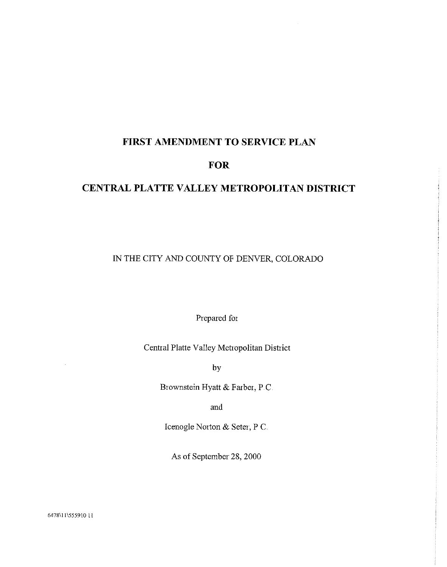## FIRST AMENDMENT TO SERVICE PLAN

## **FOR**

## CENTRAL PLATTE VALLEY METROPOLITAN DISTRICT

IN THE CITY AND COUNTY OF DENVER, COLORADO

Prepared for

Central Platte Valley Metropolitan District

by

Brownstein Hyatt & Farber, P.C.

and

Icenogle Norton & Seter, P C.

As of September 28, 2000

6478\11\555910 11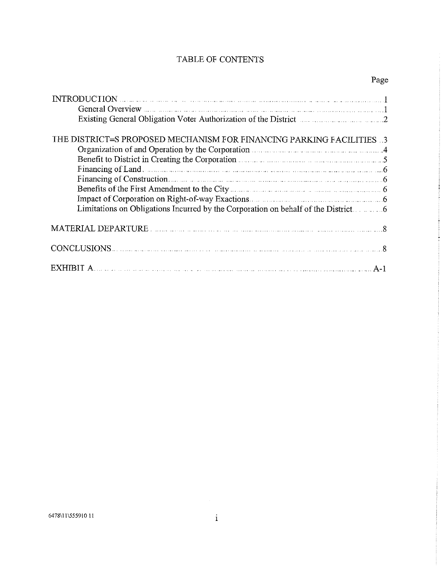### TABLE OF CONTENTS

| INTRODUCTION<br>General Overview Engines and The Contract of the Contract of the Contract of Tensor and The Contract of Tensor and Tensor and Tensor and Tensor and Tensor and Tensor and Tensor and Tensor and Tensor and Tensor |
|-----------------------------------------------------------------------------------------------------------------------------------------------------------------------------------------------------------------------------------|
|                                                                                                                                                                                                                                   |
| Existing General Obligation Voter Authorization of the District                                                                                                                                                                   |
|                                                                                                                                                                                                                                   |
| THE DISTRICT=S PROPOSED MECHANISM FOR FINANCING PARKING FACILITIES 3                                                                                                                                                              |
| Organization of and Operation by the Corporation Material Contract of the Corporation Contract of Article 2014                                                                                                                    |
| Benefit to District in Creating the Corporation                                                                                                                                                                                   |
|                                                                                                                                                                                                                                   |
| Financing of Land<br>Financing of Construction.                                                                                                                                                                                   |
| Benefits of the First Amendment to the City <b>Exercise 2008</b> of the First Amendment to the City                                                                                                                               |
|                                                                                                                                                                                                                                   |
| Limitations on Obligations Incurred by the Corporation on behalf of the District.                                                                                                                                                 |
|                                                                                                                                                                                                                                   |
|                                                                                                                                                                                                                                   |
| CONCLUSIONS 8                                                                                                                                                                                                                     |
| $\rm HBII~A$ . The contract of the contract of the contract of the contract of the contract of the contract of the $\rm A\text{-}1$                                                                                               |

 $\sim 10^{-1}$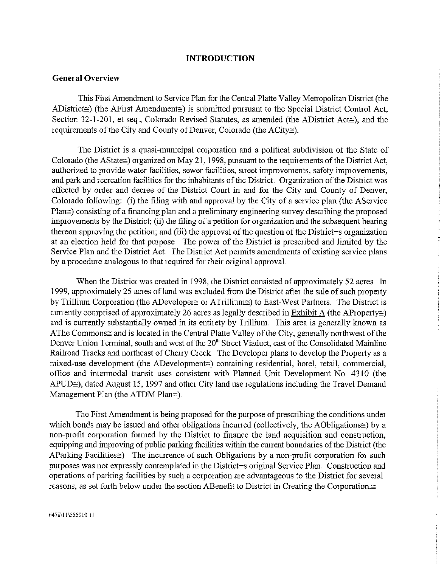#### INTRODUCTION

#### General Overview

This First Amendment to Service Plan for the Central Platte Valley Metropolitan District (the ADistrict $\cong$ ) (the AFirst Amendment $\cong$ ) is submitted pursuant to the Special District Control Act, Section 32-1-201, et seq., Colorado Revised Statutes, as amended (the ADistrict Act $\cong$ ), and the requirements of the City and County of Denver, Colorado (the ACity $\cong$ ).

The District is a quasi-municipal corporation and a political subdivision of the State of Colorado (the AState $\cong$ ) organized on May 21, 1998, pursuant to the requirements of the District Act, authorized to provide water facilities, sewer facilities, street improvements, safety improvements, and park and recreation facilities for the inhabitants of the District. Organization of the District was effected by order and deciee of the District Court in and for the City and County of Denver, Colorado following: (i) the filing with and approval by the City of a service plan (the AService  $Plan\cong$ ) consisting of a financing plan and a preliminary engineering survey describing the proposed improvements by the District; (ii) the filing of a petition for organization and the subsequent hearing thereon approving the petition; and (iii) the approval of the question of the District=s organization at an election held for that purpose. The power of the District is prescribed and limited by the Service Plan and the District Act. The District Act permits amendments of existing service plans by a procedure analogous to that required for their original approval.

When the District was created in 1998, the District consisted of approximately 52 acres In 1999, approximately 25 aces of land was excluded from the District after the sale of such property by Trillium Corporation (the ADeveloper  $\equiv$  or ATrillium $\equiv$ ) to East-West Partners. The District is currently comprised of approximately 26 acres as legally described in Exhibit A (the AProperty $\approx$ ) and is currently substantially owned in its entirety by Trillium. This area is generally known as AThe Commons $\cong$  and is located in the Central Platte Valley of the City, generally northwest of the A rife Commons and is located in the Central France Denver Union Terminal, south and west of the  $20<sup>th</sup>$  Street Viaduct, east of the Consolidated Mainline Railroad Tracks and northeast of Cherry Creek.. The Developer plans to develop the Property as a mixed-use development (the ADevelopment $\cong$ ) containing residential, hotel, retail, commercial, office and intermodal transit uses consistent with Planned Unit Development No. 4310 (the APUD $\cong$ ), dated August 15, 1997 and other City land use regulations including the Travel Demand Management Plan (the ATDM Plan $\approx$ ).

The First Amendment is being proposed for the purpose of prescribing the conditions under which bonds may be issued and other obligations incurred (collectively, the AObligations $\cong$ ) by a non-profit corporation formed by the District to finance the land acquisition and construction, equipping and improving of public parking facilities within the current boundaries of the District (the AParking Facilities $\cong$ ) The incurrence of such Obligations by a non-profit corporation for such purposes was not expressly contemplated in the District=s original Service Plan. Construction and operations of parking facilities by such a corporation are advantageous to the District for several reasons, as set forth below under the section ABenefit to District in Creating the Corporation. $\cong$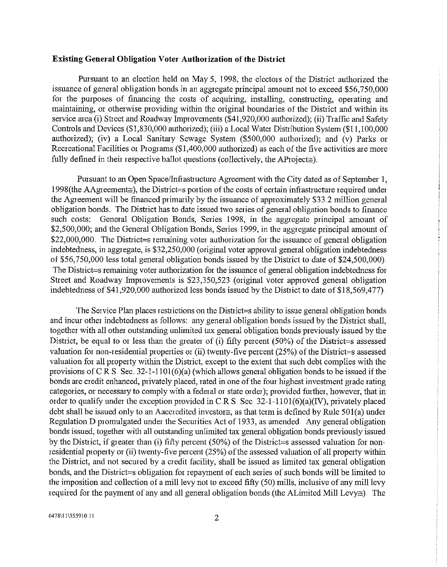#### Existing General Obligation Voter Authorization of the District

Pursuant to an election held on May 5, 1998, the electors of the District authorized the issuance of general obligation bonds in an aggregate principal amount not to exceed \$56,750,000 for the purposes of financing the costs of acquiring, installing, constructing, operating and maintaining, or otherwise providing within the original boundaries of the District and within its service area (i) Street and Roadway Improvements (\$41,920,000 authorized); (ii) Traffic and Safety Controls and Devices (\$1,830,000 authorized); (iii) a Local Water Distribution System (\$11,100,000 authorized); (iv) a Local Sanitary Sewage System  $(\$500,000$  authorized); and  $(V)$  Parks or Recreational Facilities or Programs (\$1,400,000 authorized) as each of the five activities are more fully defined in their respective ballot questions (collectively, the AProject $\cong$ ).

Pursuant to an Open Space/Infrastructure Agreement with the City dated as of September 1, 1998(the AAgreement $\cong$ ), the District=s portion of the costs of certain infrastructure required under the Agreement will be financed primarily by the issuance of approximately \$33.2 million general obligation bonds. The District has to date issued two genes of general obligation bonds to finance such costs: General Obligation Bonds, Series 1998, in the aggregate principal amount of \$2,500,000; and the General Obligation Bonds, Series 1999, in the aggregate principal amount of  $$22,000,000$ . The District=s remaining voter authorization for the issuance of general obligation indebtedness, in aggregate, is \$32,250,000 (original voter approval general obligation indebtedness of \$56,750,000 less total general obligation bonds issued by the District to date of \$24,500,000). The District=s remaining voter authorization for the issuance of general obligation indebtedness for Street and Roadway Improvements is \$23,350,523 (original voter approved general obligation indebtedness of \$41,920,000 authorized less bonds issued by the District to date of \$18,569,477).

The Service Plan places restrictions on the District=s ability to issue general obligation bonds and incur other indebtedness as follows: any general obligation bonds issued by the District shall. together with all other outstanding unlimited tax general obligation bonds previously issued by the District, be equal to or less than the greater of (i) fifty percent (50%) of the District=s assessed valuation for non-residential properties or (ii) twenty-five percent (25%) of the District=s assessed valuation for all property within the District, except to the extent that such debt complies with the provisions of C R.S. Sec. 32-1-1101(6)(a) (which allows general obligation bonds to be issued if the bonds are credit enhanced, privately placed, rated in one of the four highest investment grade rating categories. or necessary to comply with a federal or state order); provided further, however, that in order to qualify under the exception provided in C.R.S. Sec. 32-1-1101(6)(a)(IV), privately placed debt shall be issued only to an Aaccredited investor $\cong$ , as that term is defined by Rule 501(a) under Regulation D promulgated under the Securities Act of 1933, as amended. Any general obligation bonds issued, together with all outstanding unlimited tax general obligation bonds previously issued by the District, if greater than (1) fifty percent (50%) of the District=s assessed valuation for nonresidential property or (ii) twenty-five percent (25%) of the assessed valuation of all property within the District, and not secured by a credit facility, shall be issued as limited tax general obligation bonds, and the District=s obligation for repayment of each series of such bonds will be limited to the imposition and collection of a mill levy not to exceed fifty (50) mills, inclusive of any mill levy required for the payment of any and all general obligation bonds (the ALimited Mill Levy $\approx$ ). The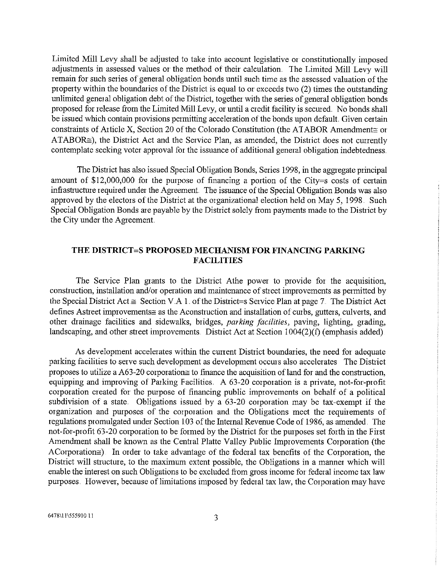Limited Mill Levy shall he adjusted to take into account legislative or constitutionally imposed adjustments in assessed values or the method of their calculation.. The Limited Mill Levy will remain for such series of general obligation bonds until such time as the assessed valuation of the propeity within the boundaries of the District is equal to or exceeds two (2) times the outstanding unlimited general obligation debt of the District, together with the series of general obligation bonds proposed for release from the Limited Mill Levy, or until a credit facility is secured. No bonds shall be issued which contain provisions permitting acceleration of the bonds upon default. Given certain constraints of Article X, Section 20 of the Colorado Constitution (the ATABOR Amendment  $\approx$  or ATABOR $\cong$ ), the District Act and the Service Plan, as amended, the District does not currently contemplate seeking voter approval for the issuance of additional general obligation indebtedness.

The District has also issued Special Obligation Bonds, Series 1998, in the aggregate principal amount of \$12,000,000 for the purpose of fmancing a portion of the *City=s* costs of certain infrastructure required under the Agreement. The issuance of the Special Obligation Bonds was also approved by the electors of the District at the organizational election held on May 5, 1998. Such Special Obligation Bonds ate payable by the District solely from payments made to the District by the City under the Agreement

#### THE DISTRICT=S PROPOSED MECHANISM FOR FINANCING PARKING FACILITIES

The Service Plan grants to the District Athe power to provide for the acquisition, construction, installation and/or operation and maintenance of street improvements as permitted by the Special District Act  $\cong$  Section V A 1. of the District=s Service Plan at page 7. The District Act defines Astreet improvements $\approx$  as the Aconstruction and installation of curbs, gutters, culverts, and other drainage facilities and sidewalks, bridges, *parking facilities,* paving, lighting, grading, landscaping, and other street improvements. District Act at Section  $1004(2)(f)$  (emphasis added).

As development accelerates within the current District boundaries, the need for adequate parking facilities to serve such development as development occurs also accelerates The District proposes to utilize a A63-20 corporation  $\equiv$  to finance the acquisition of land for and the construction, equipping and improving of Parking Facilities. A  $63-20$  corporation is a private, not-for-profit corporation created for the purpose of financing public improvements on behalf of a political subdivision of a state, Obligations issued by a 63-20 corporation may be tax-exempt if the organization and purposes of the corporation and the Obligations meet the requirements of regulations promulgated under Section 103 of the Internal Revenue Code of 1986, as amended. The not-for-profit 63-20 corporation to be formed by the District for the purposes set forth in the First Amendment shall be known as the Central Platte Valley Public Improvements Corporation (the ACorporation $\cong$ ). In order to take advantage of the federal tax benefits of the Corporation, the District will structure, to the maximum extent possible, the Obligations in a manner which will enable the interest on such Obligations to be excluded from gross income for federal income tax law purposes However, because of limitations imposed by federal tax law, the Corporation may have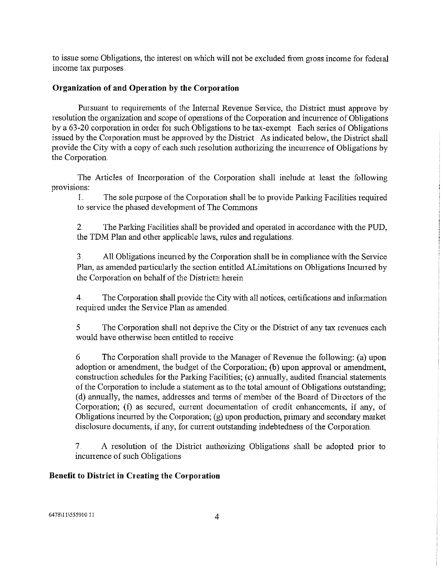to issue some Obligations, the interest on which will not be excluded from gross income for federal incone tax purposes.

#### Organization of and Operation by the Corporation

Pursuant to requirements of the Internal Revenue Service, the District must approve by resolution the organization and scope of operations of the Corporation and incunence of Obligations by a 63-20 corporation in order for such Obligations to be tax-exempt. Each series of Obligations issued by the Corporation must be approved by the District As indicated below, the District shall provide the City with a copy of each such resolution authorizing the incunence of Obligations by the Corporation..

The Articles of Tncotpoation of the Corporation shall include at least the following provisions:

 $1<sub>1</sub>$ The sole purpose of the Corporation shall be to provide Parking Facilities required to service the phased development of The Commons

2 The Parking Facilities shall be provided and operated in accordance with the PUD, the 1DM Plan and other applicable laws, rules and regulations..

3.. All Obligations incurred by the Corporation shall be in compliance with the Service Plan, as amended particularly the section entitled ALimitations on Obligations Incurred by the Corporation on behalf of the District $\cong$  herein.

4 The Corporation shall provide the City with all notices, certthcations and information required under the Service Plan as amended..

*5* The Corporation shall not deprive the City or the District of any tax *revenues* each would have otherwise been entitled to receive.

*6* The Corporation shall provide to the Manager of Revenue the following: (a) upon adoption or amendment, the budget of the Corporation; (b) upon approval or amendment, construction schedules for the Parking Facilities; (c) annually, audited financial statements of the Corporation to include a slatement as to the total amount of Obligations outstanding; (d) annually, the names, addresses aid terms of member of the Board of Directors of the Corporation; (f) as secured, current documentation of credit enhancements, if any, of Obligations incurred by the Corporation; (g) upon production, primary and secondary market disclosure documents, if any, for current outstanding indebtedness of the Corporation.

7. A resolution of the Distiict authorizing Obligations shall be adopted prior to incurrence of such Obligations.

#### Benefit to District in Creating the Corporation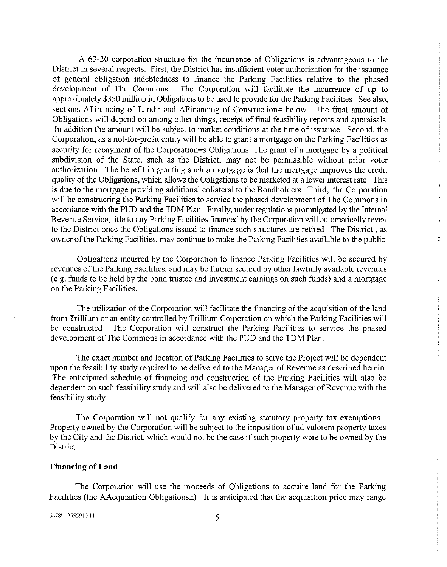A 63-20 corporation structure for the ineunenee of Obligations is advantageous to the District in several respects. First, the District has insufficient voter authorization for the issuance of general obligation indebtedness to finance the Parking Facilities relative to the phased<br>development of The Commons. The Corporation will facilitate the incurrence of up to The Corporation will facilitate the incurrence of up to approximately \$350 million in Obligations to be used to provide for the Parking Facilities See also, sections AFinancing of Land and AFinancing of Construction below. The final amount of Obligations will depend on among other things, receipt of final feasibility reports and appraisals. In addition the amount will be subject to market conditions at the time of issuance.. Second, the Corporation, as a not-for-profit entity will be able to grant a mortgage on the Parking Facilities as security for repayment of the Corporation=s Obligations. The grant of a mortgage by a political subdivision of the State, such as the District, may not be permissible without prior voter authorization. The benefit in granting such a mortgage is that the mortgage improves the credit quality of the Obligations, which allows the Obligations to be marketed at a lower interest rate This is due to the mortgage providing additional collateral to the Bondholders. Third, the Corporation will be constructing the Parking Facilities to service the phased development of The Commons in accordance with the PUD and the 1DM Plan Finally, under regulations promulgated by the Internal Revenue Service, title to any Parking Facilities financed by the Corporation will automatically revert to the District once the Obligations issued to finance such structures are nethed.. The District , as owner of the Parking Facilities, may continue to make the Parking Facilities available to the public.

Obligations incurred by the Corporation to finance Parking Facilities will be secured by revenues of the Parking Facilities, and maybe further secured by other lawfully available revenues (e g. funds to be held by the bond trustee and investment earnings on such funds) and a mortgage on the Parking Facilities.

The utilization of the Corporation will facilitate the financing of the acquisition of the land fiom Trillium or an entity controlled by Trillium Corporation on which the Parking Facilities will be constructed. The Corporation will construct the Parking Facilities to service the phased development of The Commons in accordance with the PUD and the TDM Plan.

The exact number and location of Parking Facilities to serve the Project will be dependent upon the feasibility study required to he delivered to the Manager of Revenue as described herein.. The anticipated schedule of financing and construction of the Parking Facilities will also be dependent on such feasibility study and will also be delivered to the Manager of Revenue with the feasibility study.

The Corporation will not qualify for any existing statutory property tax-exemptions. Property owned by the Corporation will be subject to the imposition of ad valorem pioperty taxes by the City and the District, which would not be the case if such property were to be owned by the District.

#### Financing of Land

The Corporation will use the proceeds of Obligations to acquire land for the Parking Facilities (the AAcquisition Obligations $\equiv$ ). It is anticipated that the acquisition price may range

6478\11\555910.11 5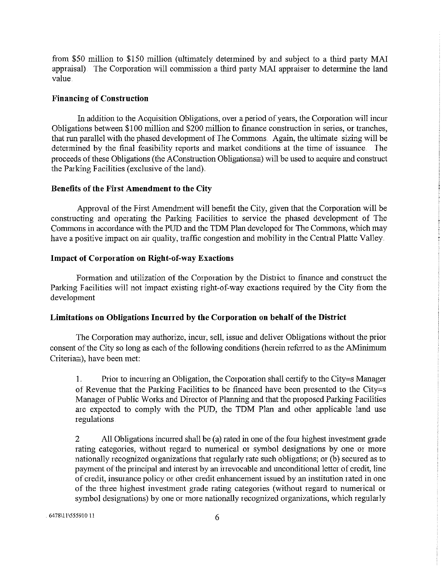from *S50* million to \$i50 million (ultimately determined by and subject to a third party MA1 appraisal) The Corporation will commission a third party MAI appraiser to determine the land value

#### Financing of Construction

In addition to the Acquisition Obligations, over a period of years, the Corporation will incur Obligations between \$100 million and \$200 million to finance construction in series, or tranches, that run parallel with the phased development of The Commons. Again, the ultimate sizing will be determined by the final feasibility reports and market conditions at the time of issuance. The proceeds of these Obligations (the AConstruction Obligations $\cong$ ) will be used to acquire and construct the Parking Facilities (exclusive of the land)

#### Benefits of the First Amendment to the City

Approval of the First Amendment will benefit the City, given that the Corporation will be constructing and operating the Parking Facilities to service the phased development of The Commons in accordance with the PUD and the TDM Plan developed for The Commons, which may have a positive impact on air quality, traffic congestion and mobility in the Central Platte Valley.

#### Impact of Corporation on Right-of-way Exactions

Formation and utilization of the Corporation by the District to finance and construct the Parking Facilities will not impact existing right-of-way exactions required by the City from the development

#### Limitations on Obligations Incurred by the Corporation on behalf of the District

The Corporation may authorize, incur, sell, issue and deliver Obligations without the prior consent of the City so long as each of the following conditions (herein referred to as the AMinimum *Criteria),* have been met:

1,. Prior to incurring an Obligation, the Corporation shall certify to the City=s Manager of Revenue that the Parking Facilities to be financed have been presented to the City=s Manager of Public Works and Director of Planning and that the proposed Parking Facilities are expected to comply with the PUD, the TDM Plan and other applicable land use regulations

2 All Obligations incurred shall be (a) rated in one of the four highest investment grade rating categories, without regard to numerical or symbol designations by one or more nationally recognized organizations that regularly rate such obligations; or (b) secured as to payment of the principal and interest by an irrevocable and unconditional letter of credit, line of credit, insurance policy or other credit enhancement issued by an institution rated in one of the three highest investment grade rating categories (without regard to numerical o symbol designations) by one or more nationally recognized organizations, which regularly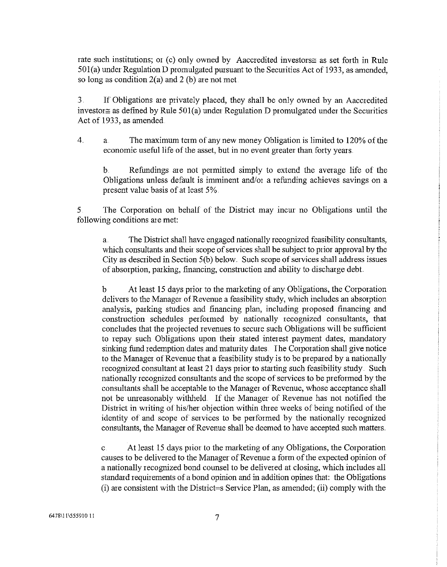rate such institutions; or (c) only owned by Aaccredited investors as set forth in Rule  $501(a)$  under Regulation D promulgated pursuant to the Securities Act of 1933, as amended, so long as condition  $2(a)$  and  $2(b)$  are not met.

3 If Obligations are pnvately placed, they shall be only owned by an Aaccredited investor as defined by Rule 501(a) under Regulation D promulgated under the Securities Act of 1933, as amended.

 $\overline{4}$ . a. The maximum term of any new money Obligation is limited to 120% of the economic useful life of the asset, but in no event greater than forty years.

b. Refundings are not permitted simply to extend the average life of the Obligations unless default is imminent and/or a refunding achieves savings on a present value basis of at least 5%

*5* The Corporation on behalf of the District may incur no Obligations mtil the following conditions arc met:

a. The District shall have engaged nationally recognized feasibility consultants, which consultants and their scope of services shall be subject to prior approval by the City as described in Section 5(b) below. Such scope of services shall address issues of absorption, parking, financing, construction and ability to discharge debt.

b At least 15 days prior to the marketing of any Obligations, the Corporation delivers to the Manager of Revenue a feasibility study, which includes an absorption analysis, parking studies and financing plan, including proposed financing and construction schedules performed by nationally recognized consultants, that concludes that the projected revenues to secure such Obligations will be sufficient to repay such Obligations upon their stated interest payment dates, mandatory sinking fund redemption dates and maturity dates. The Corporation shall give notice to the Manager of Revenue that a feasibility study is to be prepared by a nationally recognized consultant at least 21 days prior to starting such feasibility study. Such nationally recognized consultants and the scope of services to he preformed hy the consultants shall be acceptable to the Manager of Revenue, whose acceptance shall not be unreasonably withheld. If the Manager of Revenue has not notified the District in writing of his/her objection within three weeks of being notified of the identity of and scope of services to be performed by the nationally recognized consultants, the Manager of Revenue shall be deemed to have accepted such matters.

c.At least *15* days pñor to the marketing of any Obligations, the Corporation causes to be delivered to the Manager of Revenue a form of the expected opinion of a nationally recognized bond counsel to be delivered at closing, which includes all standard requirements of a bond opinion and in addition opines that: the Obligations (1) are consistent with the District=s Service Plan, as amended; (ii) comply with the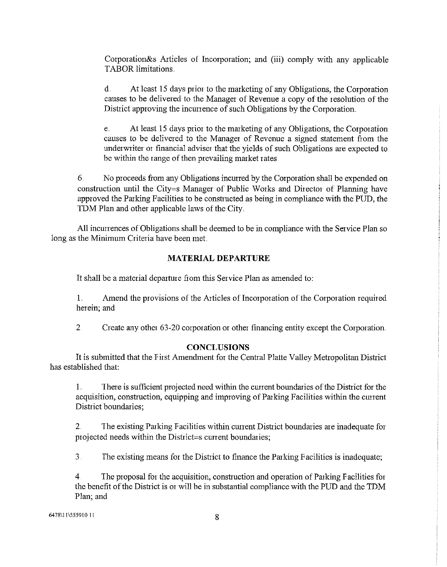Corporation&s Aiticles of Incorporation; and (iii) comply with any applicable TABOR limitations.

d At least 15 days prior to the marketing of any Obligations, the Corporation causes to be delivered to the Manager of Revernie a copy of the resolution of the District approving the incurrence of such Obligations by the Corporation.

e At leasl 15 days prior to the marketing of any Obligations, the Corporation causes to be delivered to the Manager of Revenue a signed statement from the underwriter or financial adviser that the yields of such Obligations are expected to be within the range of then prevailing market rates.

6 No proceeds from any Obligations incurred by the Corporation shall be expended on construction until the City=s Manager of Public Works and Director of Planning have approved the Parking Facilities to be constructed as being in compliance with the PIJD, the TDM Plan and other applicable laws of the City.

All incunences of Obligations shall be deemed to be in compliance with the Service Plan so long as the Minimum *Criteria* have been met.

#### MATERIAL DEPARTURE

It shall be a material departure from this Service Plan as amended to:

 $1<sub>1</sub>$ Amend the provisions of the Articles of Incorporation of the Corporation required herein: and

 $\overline{2}$ Create any other 63-20 corporation or other financing entity except the Corporation..

#### **CONCLUSIONS**

It is submitted that the first Amendment for the Central Platte Valley Metropolitan District has established that:

1 There is sufficient projected need within the current boundaries of the District for the acquisition, construction, equipping and improving of Pauking Facilities within the current District boundaries;

2. The existing Parking Facilities within current District boundaries are inadequate for projected needs within the District=s current boundaries;

3. The existing means for the District to finance the Parking Facilities is inadequate;

4 The proposal for the acquisition, construction and operation of Parking Facilities for the benefit of the District is or will be in substantial compliance with the PLID and the TDM Plan; and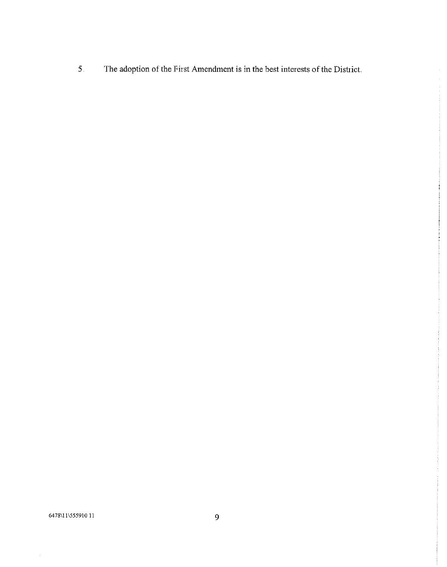The adoption of the First Amendment is in the best interests of the District.  $\overline{\mathbf{5}}$ .

6478\11\555910.11

 $\hat{\boldsymbol{\gamma}}$